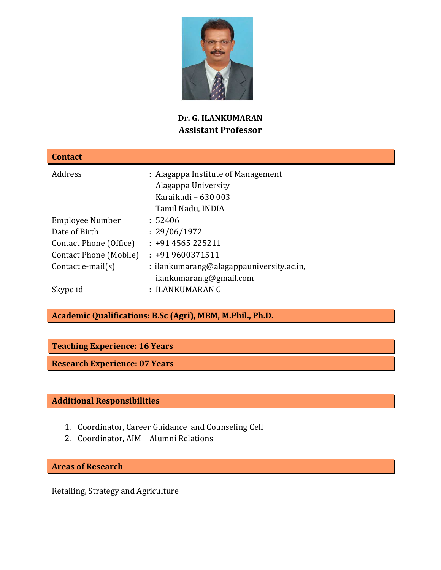

# **Dr. G. ILANKUMARAN Assistant Professor**

| <b>Contact</b>          |                                                                                  |  |  |
|-------------------------|----------------------------------------------------------------------------------|--|--|
| Address                 | : Alagappa Institute of Management<br>Alagappa University<br>Karaikudi - 630 003 |  |  |
|                         | Tamil Nadu, INDIA                                                                |  |  |
| Employee Number         | : 52406                                                                          |  |  |
| Date of Birth           | : 29/06/1972                                                                     |  |  |
| Contact Phone (Office)  | $: +914565225211$                                                                |  |  |
| Contact Phone (Mobile)  | $: +919600371511$                                                                |  |  |
| Contact $e$ -mail $(s)$ | : ilankumarang@alagappauniversity.ac.in,<br>ilankumaran.g@gmail.com              |  |  |
| Skype id                | : ILANKUMARAN G                                                                  |  |  |

# **Academic Qualifications: B.Sc (Agri), MBM, M.Phil., Ph.D.**

## **Teaching Experience: 16 Years**

**Research Experience: 07 Years** 

## **Additional Responsibilities**

- 1. Coordinator, Career Guidance and Counseling Cell
- 2. Coordinator, AIM Alumni Relations

**Areas of Research** 

Retailing, Strategy and Agriculture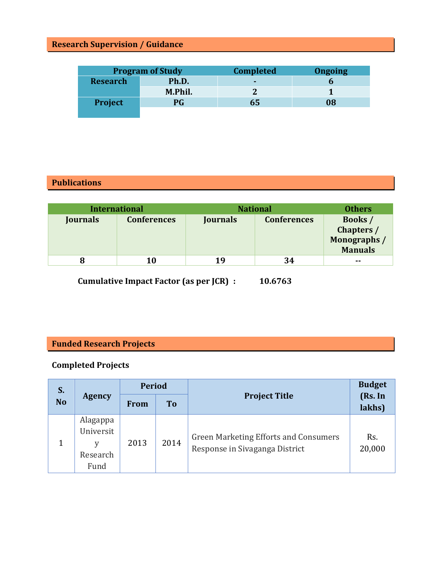# **Research Supervision / Guidance**

| <b>Program of Study</b> |         | <b>Completed</b> | <b>Ongoing</b> |
|-------------------------|---------|------------------|----------------|
| <b>Research</b>         | Ph.D.   | -                |                |
|                         | M.Phil. |                  |                |
| <b>Project</b>          | PG      | 65               | 08             |
|                         |         |                  |                |

# **Publications**

| <b>International</b> |                    | <b>National</b> |                    | <b>Others</b>                                                  |
|----------------------|--------------------|-----------------|--------------------|----------------------------------------------------------------|
| Journals             | <b>Conferences</b> | <b>Journals</b> | <b>Conferences</b> | <b>Books</b> /<br>Chapters /<br>Monographs /<br><b>Manuals</b> |
|                      | 10                 | 19              | 34                 | $\sim$ $\sim$                                                  |

 **Cumulative Impact Factor (as per JCR) : 10.6763** 

# **Funded Research Projects**

## **Completed Projects**

| S.<br><b>No</b> | <b>Agency</b>                                  | <b>Period</b> |           |                                                                                | <b>Budget</b>     |
|-----------------|------------------------------------------------|---------------|-----------|--------------------------------------------------------------------------------|-------------------|
|                 |                                                | <b>From</b>   | <b>To</b> | <b>Project Title</b>                                                           | (Rs. In<br>lakhs) |
|                 | Alagappa<br>Universit<br>v<br>Research<br>Fund | 2013          | 2014      | <b>Green Marketing Efforts and Consumers</b><br>Response in Sivaganga District | Rs.<br>20,000     |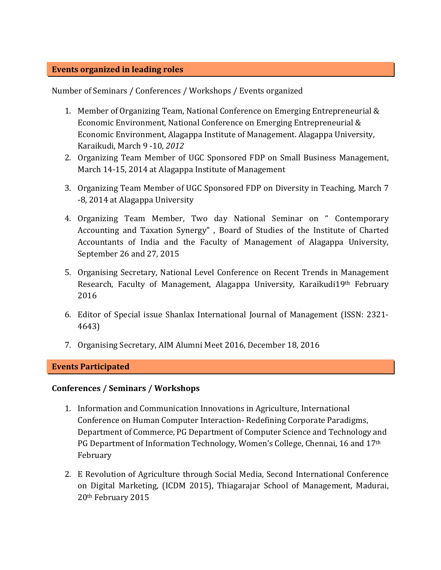### **Events organized in leading roles**

Number of Seminars / Conferences / Workshops / Events organized

- 1. Member of Organizing Team, National Conference on Emerging Entrepreneurial & Economic Environment, National Conference on Emerging Entrepreneurial & Economic Environment, Alagappa Institute of Management. Alagappa University, Karaikudi, March 9 -10, *2012*
- 2. Organizing Team Member of UGC Sponsored FDP on Small Business Management, March 14-15, 2014 at Alagappa Institute of Management
- 3. Organizing Team Member of UGC Sponsored FDP on Diversity in Teaching, March 7 -8, 2014 at Alagappa University
- 4. Organizing Team Member, Two day National Seminar on " Contemporary Accounting and Taxation Synergy" , Board of Studies of the Institute of Charted Accountants of India and the Faculty of Management of Alagappa University, September 26 and 27, 2015
- 5. Organising Secretary, National Level Conference on Recent Trends in Management Research, Faculty of Management, Alagappa University, Karaikudi19th February 2016
- 6. Editor of Special issue Shanlax International Journal of Management (ISSN: 2321- 4643)
- 7. Organising Secretary, AIM Alumni Meet 2016, December 18, 2016

### **Events Participated**

### **Conferences / Seminars / Workshops**

- 1. Information and Communication Innovations in Agriculture, International Conference on Human Computer Interaction- Redefining Corporate Paradigms, Department of Commerce, PG Department of Computer Science and Technology and PG Department of Information Technology, Women's College, Chennai, 16 and 17th February
- 2. E Revolution of Agriculture through Social Media, Second International Conference on Digital Marketing, (ICDM 2015), Thiagarajar School of Management, Madurai, 20th February 2015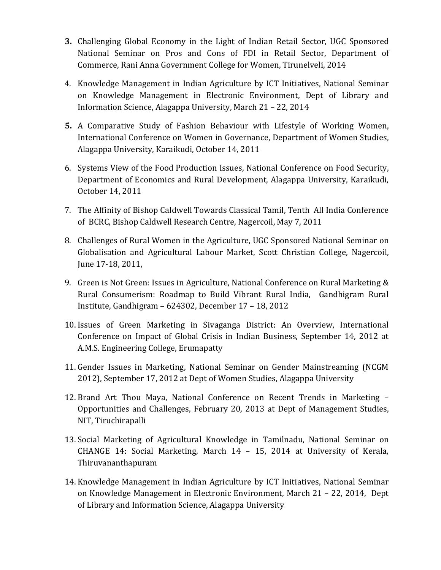- **3.** Challenging Global Economy in the Light of Indian Retail Sector, UGC Sponsored National Seminar on Pros and Cons of FDI in Retail Sector, Department of Commerce, Rani Anna Government College for Women, Tirunelveli, 2014
- 4. Knowledge Management in Indian Agriculture by ICT Initiatives, National Seminar on Knowledge Management in Electronic Environment, Dept of Library and Information Science, Alagappa University, March 21 – 22, 2014
- **5.** A Comparative Study of Fashion Behaviour with Lifestyle of Working Women, International Conference on Women in Governance, Department of Women Studies, Alagappa University, Karaikudi, October 14, 2011
- 6. Systems View of the Food Production Issues, National Conference on Food Security, Department of Economics and Rural Development, Alagappa University, Karaikudi, October 14, 2011
- 7. The Affinity of Bishop Caldwell Towards Classical Tamil, Tenth All India Conference of BCRC, Bishop Caldwell Research Centre, Nagercoil, May 7, 2011
- 8. Challenges of Rural Women in the Agriculture, UGC Sponsored National Seminar on Globalisation and Agricultural Labour Market, Scott Christian College, Nagercoil, June 17-18, 2011,
- 9. Green is Not Green: Issues in Agriculture, National Conference on Rural Marketing & Rural Consumerism: Roadmap to Build Vibrant Rural India, Gandhigram Rural Institute, Gandhigram – 624302, December 17 – 18, 2012
- 10. Issues of Green Marketing in Sivaganga District: An Overview, International Conference on Impact of Global Crisis in Indian Business, September 14, 2012 at A.M.S. Engineering College, Erumapatty
- 11. Gender Issues in Marketing, National Seminar on Gender Mainstreaming (NCGM 2012), September 17, 2012 at Dept of Women Studies, Alagappa University
- 12. Brand Art Thou Maya, National Conference on Recent Trends in Marketing Opportunities and Challenges, February 20, 2013 at Dept of Management Studies, NIT, Tiruchirapalli
- 13. Social Marketing of Agricultural Knowledge in Tamilnadu, National Seminar on CHANGE 14: Social Marketing, March 14 – 15, 2014 at University of Kerala, Thiruvananthapuram
- 14. Knowledge Management in Indian Agriculture by ICT Initiatives, National Seminar on Knowledge Management in Electronic Environment, March 21 – 22, 2014, Dept of Library and Information Science, Alagappa University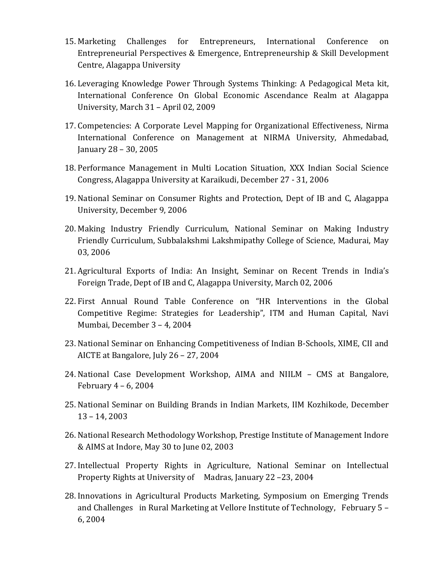- 15. Marketing Challenges for Entrepreneurs, International Conference on Entrepreneurial Perspectives & Emergence, Entrepreneurship & Skill Development Centre, Alagappa University
- 16. Leveraging Knowledge Power Through Systems Thinking: A Pedagogical Meta kit, International Conference On Global Economic Ascendance Realm at Alagappa University, March 31 – April 02, 2009
- 17. Competencies: A Corporate Level Mapping for Organizational Effectiveness, Nirma International Conference on Management at NIRMA University, Ahmedabad, January 28 – 30, 2005
- 18. Performance Management in Multi Location Situation, XXX Indian Social Science Congress, Alagappa University at Karaikudi, December 27 - 31, 2006
- 19. National Seminar on Consumer Rights and Protection, Dept of IB and C, Alagappa University, December 9, 2006
- 20. Making Industry Friendly Curriculum, National Seminar on Making Industry Friendly Curriculum, Subbalakshmi Lakshmipathy College of Science, Madurai, May 03, 2006
- 21. Agricultural Exports of India: An Insight, Seminar on Recent Trends in India's Foreign Trade, Dept of IB and C, Alagappa University, March 02, 2006
- 22. First Annual Round Table Conference on "HR Interventions in the Global Competitive Regime: Strategies for Leadership", ITM and Human Capital, Navi Mumbai, December 3 – 4, 2004
- 23. National Seminar on Enhancing Competitiveness of Indian B-Schools, XIME, CII and AICTE at Bangalore, July 26 – 27, 2004
- 24. National Case Development Workshop, AIMA and NIILM CMS at Bangalore, February 4 – 6, 2004
- 25. National Seminar on Building Brands in Indian Markets, IIM Kozhikode, December 13 – 14, 2003
- 26. National Research Methodology Workshop, Prestige Institute of Management Indore & AIMS at Indore, May 30 to June 02, 2003
- 27. Intellectual Property Rights in Agriculture, National Seminar on Intellectual Property Rights at University of Madras, January 22 –23, 2004
- 28. Innovations in Agricultural Products Marketing, Symposium on Emerging Trends and Challenges in Rural Marketing at Vellore Institute of Technology, February 5 – 6, 2004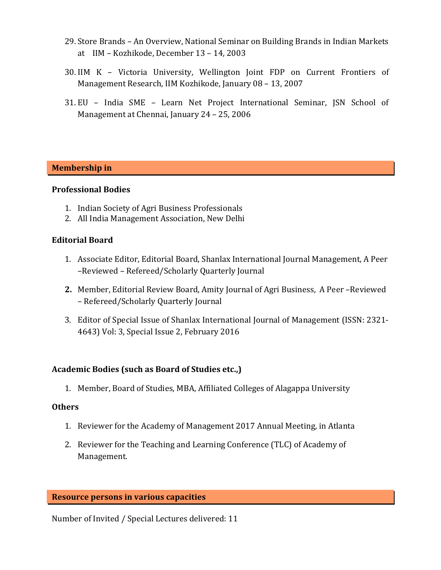- 29. Store Brands An Overview, National Seminar on Building Brands in Indian Markets at IIM – Kozhikode, December 13 – 14, 2003
- 30. IIM K Victoria University, Wellington Joint FDP on Current Frontiers of Management Research, IIM Kozhikode, January 08 – 13, 2007
- 31. EU India SME Learn Net Project International Seminar, JSN School of Management at Chennai, January 24 – 25, 2006

### **Membership in**

#### **Professional Bodies**

- 1. Indian Society of Agri Business Professionals
- 2. All India Management Association, New Delhi

#### **Editorial Board**

- 1. Associate Editor, Editorial Board, Shanlax International Journal Management, A Peer –Reviewed – Refereed/Scholarly Quarterly Journal
- **2.** Member, Editorial Review Board, Amity Journal of Agri Business, A Peer –Reviewed – Refereed/Scholarly Quarterly Journal
- 3. Editor of Special Issue of Shanlax International Journal of Management (ISSN: 2321- 4643) Vol: 3, Special Issue 2, February 2016

### **Academic Bodies (such as Board of Studies etc.,)**

1. Member, Board of Studies, MBA, Affiliated Colleges of Alagappa University

#### **Others**

- 1. Reviewer for the Academy of Management 2017 Annual Meeting, in Atlanta
- 2. Reviewer for the Teaching and Learning Conference (TLC) of Academy of Management.

#### **Resource persons in various capacities**

Number of Invited / Special Lectures delivered: 11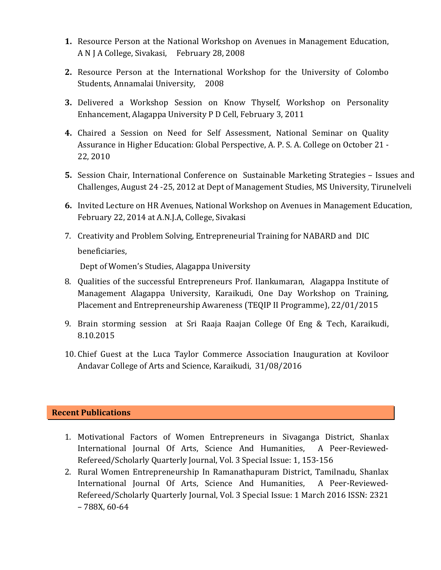- **1.** Resource Person at the National Workshop on Avenues in Management Education, A N J A College, Sivakasi, February 28, 2008
- **2.** Resource Person at the International Workshop for the University of Colombo Students, Annamalai University, 2008
- **3.** Delivered a Workshop Session on Know Thyself, Workshop on Personality Enhancement, Alagappa University P D Cell, February 3, 2011
- **4.** Chaired a Session on Need for Self Assessment, National Seminar on Quality Assurance in Higher Education: Global Perspective, A. P. S. A. College on October 21 - 22, 2010
- **5.** Session Chair, International Conference on Sustainable Marketing Strategies Issues and Challenges, August 24 -25, 2012 at Dept of Management Studies, MS University, Tirunelveli
- **6.** Invited Lecture on HR Avenues, National Workshop on Avenues in Management Education, February 22, 2014 at A.N.J.A, College, Sivakasi
- 7. Creativity and Problem Solving, Entrepreneurial Training for NABARD and DIC beneficiaries,

Dept of Women's Studies, Alagappa University

- 8. Qualities of the successful Entrepreneurs Prof. Ilankumaran, Alagappa Institute of Management Alagappa University, Karaikudi, One Day Workshop on Training, Placement and Entrepreneurship Awareness (TEQIP II Programme), 22/01/2015
- 9. Brain storming session at Sri Raaja Raajan College Of Eng & Tech, Karaikudi, 8.10.2015
- 10. Chief Guest at the Luca Taylor Commerce Association Inauguration at Koviloor Andavar College of Arts and Science, Karaikudi, 31/08/2016

## **Recent Publications**

- 1. Motivational Factors of Women Entrepreneurs in Sivaganga District, Shanlax International Journal Of Arts, Science And Humanities, A Peer-Reviewed-Refereed/Scholarly Quarterly Journal, Vol. 3 Special Issue: 1, 153-156
- 2. Rural Women Entrepreneurship In Ramanathapuram District, Tamilnadu, Shanlax International Journal Of Arts, Science And Humanities, A Peer-Reviewed-Refereed/Scholarly Quarterly Journal, Vol. 3 Special Issue: 1 March 2016 ISSN: 2321 – 788X, 60-64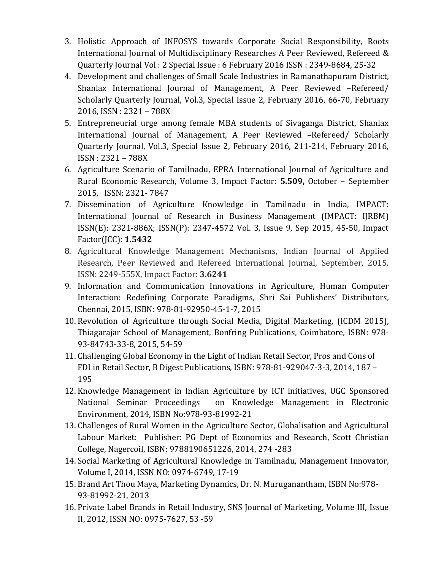- 3. Holistic Approach of INFOSYS towards Corporate Social Responsibility, Roots International Journal of Multidisciplinary Researches A Peer Reviewed, Refereed & Quarterly Journal Vol : 2 Special Issue : 6 February 2016 ISSN : 2349-8684, 25-32
- 4. Development and challenges of Small Scale Industries in Ramanathapuram District, Shanlax International Journal of Management, A Peer Reviewed –Refereed/ Scholarly Quarterly Journal, Vol.3, Special Issue 2, February 2016, 66-70, February 2016, ISSN : 2321 – 788X
- 5. Entrepreneurial urge among female MBA students of Sivaganga District, Shanlax International Journal of Management, A Peer Reviewed –Refereed/ Scholarly Quarterly Journal, Vol.3, Special Issue 2, February 2016, 211-214, February 2016, ISSN : 2321 – 788X
- 6. Agriculture Scenario of Tamilnadu, EPRA International Journal of Agriculture and Rural Economic Research, Volume 3, Impact Factor: **5.509,** October – September 2015, ISSN: 2321- 7847
- 7. Dissemination of Agriculture Knowledge in Tamilnadu in India, IMPACT: International Journal of Research in Business Management (IMPACT: IJRBM) ISSN(E): 2321-886X; ISSN(P): 2347-4572 Vol. 3, Issue 9, Sep 2015, 45-50, Impact Factor(JCC): **1.5432**
- 8. Agricultural Knowledge Management Mechanisms, Indian Journal of Applied Research, Peer Reviewed and Refereed International Journal, September, 2015, ISSN: 2249-555X, Impact Factor: **3.6241**
- 9. Information and Communication Innovations in Agriculture, Human Computer Interaction: Redefining Corporate Paradigms, Shri Sai Publishers' Distributors, Chennai, 2015, ISBN: 978-81-92950-45-1-7, 2015
- 10. Revolution of Agriculture through Social Media, Digital Marketing, (ICDM 2015), Thiagarajar School of Management, Bonfring Publications, Coimbatore, ISBN: 978- 93-84743-33-8, 2015, 54-59
- 11. Challenging Global Economy in the Light of Indian Retail Sector, Pros and Cons of FDI in Retail Sector, B Digest Publications, ISBN: 978-81-929047-3-3, 2014, 187 – 195
- 12. Knowledge Management in Indian Agriculture by ICT initiatives, UGC Sponsored National Seminar Proceedings on Knowledge Management in Electronic Environment, 2014, ISBN No:978-93-81992-21
- 13. Challenges of Rural Women in the Agriculture Sector, Globalisation and Agricultural Labour Market: Publisher: PG Dept of Economics and Research, Scott Christian College, Nagercoil, ISBN: 9788190651226, 2014, 274 -283
- 14. Social Marketing of Agricultural Knowledge in Tamilnadu, Management Innovator, Volume I, 2014, ISSN NO: 0974-6749, 17-19
- 15. Brand Art Thou Maya, Marketing Dynamics, Dr. N. Muruganantham, ISBN No:978- 93-81992-21, 2013
- 16. Private Label Brands in Retail Industry, SNS Journal of Marketing, Volume III, Issue II, 2012, ISSN NO: 0975-7627, 53 -59